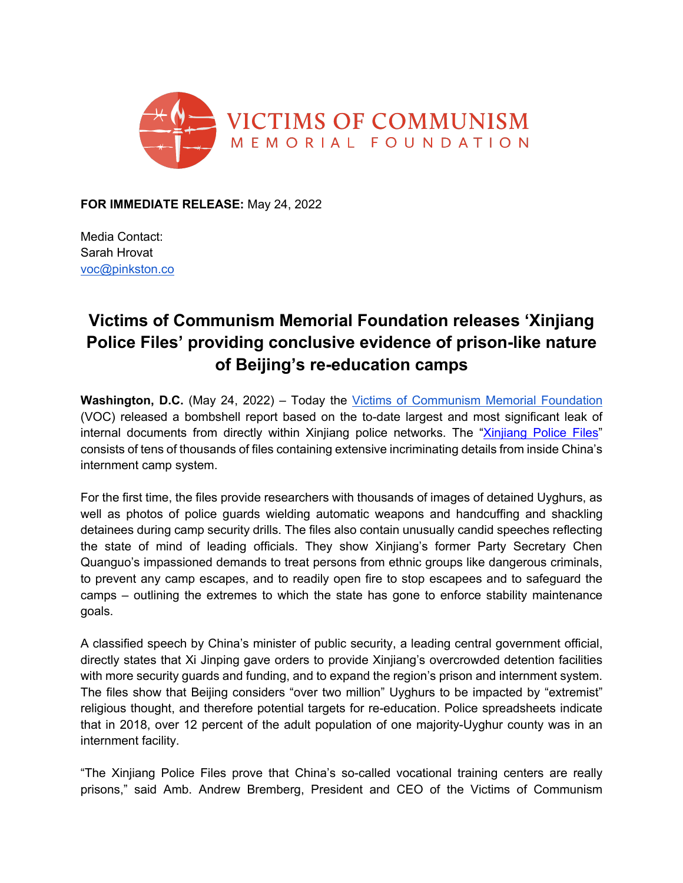

**FOR IMMEDIATE RELEASE:** May 24, 2022

Media Contact: Sarah Hrovat voc@pinkston.co

## **Victims of Communism Memorial Foundation releases 'Xinjiang Police Files' providing conclusive evidence of prison-like nature of Beijing's re-education camps**

**Washington, D.C.** (May 24, 2022) – Today the [Victims of Communism Memorial Foundation](https://victimsofcommunism.org/) (VOC) released a bombshell report based on the to-date largest and most significant leak of internal documents from directly within Xinjiang police networks. The ["Xinjiang Police Files"](http://xinjiangpolicefiles.org/)  consists of tens of thousands of files containing extensive incriminating details from inside China's internment camp system.

For the first time, the files provide researchers with thousands of images of detained Uyghurs, as well as photos of police guards wielding automatic weapons and handcuffing and shackling detainees during camp security drills. The files also contain unusually candid speeches reflecting the state of mind of leading officials. They show Xinjiang's former Party Secretary Chen Quanguo's impassioned demands to treat persons from ethnic groups like dangerous criminals, to prevent any camp escapes, and to readily open fire to stop escapees and to safeguard the camps – outlining the extremes to which the state has gone to enforce stability maintenance goals.

A classified speech by China's minister of public security, a leading central government official, directly states that Xi Jinping gave orders to provide Xinjiang's overcrowded detention facilities with more security guards and funding, and to expand the region's prison and internment system. The files show that Beijing considers "over two million" Uyghurs to be impacted by "extremist" religious thought, and therefore potential targets for re-education. Police spreadsheets indicate that in 2018, over 12 percent of the adult population of one majority-Uyghur county was in an internment facility.

"The Xinjiang Police Files prove that China's so-called vocational training centers are really prisons," said Amb. Andrew Bremberg, President and CEO of the Victims of Communism